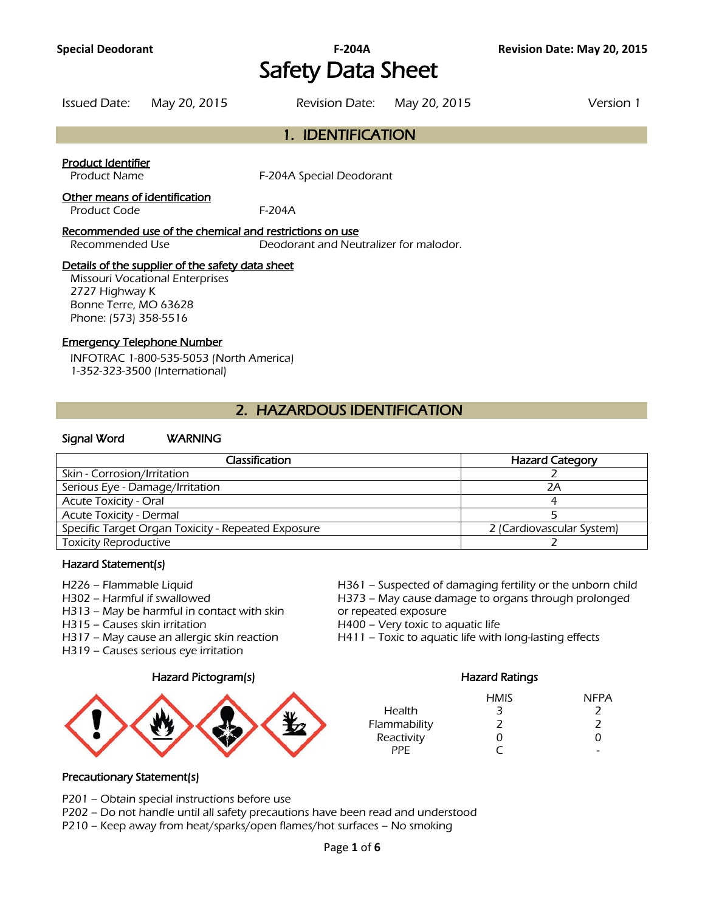## **Special Deodorant F-204A Revision Date: May 20, 2015** Safety Data Sheet

| Issued Date: May 20, 2015 | Revision Date: May 20, 2015 | Version 1 |
|---------------------------|-----------------------------|-----------|
|                           |                             |           |

# 1. IDENTIFICATION

#### Product Identifier

Product Name F-204A Special Deodorant

#### Other means of identification

Product Code F-204A

#### Recommended use of the chemical and restrictions on use

Recommended Use Deodorant and Neutralizer for malodor.

## Details of the supplier of the safety data sheet

Missouri Vocational Enterprises 2727 Highway K Bonne Terre, MO 63628 Phone: (573) 358-5516

## Emergency Telephone Number

INFOTRAC 1-800-535-5053 (North America) 1-352-323-3500 (International)

## 2. HAZARDOUS IDENTIFICATION

## Signal Word WARNING

| Classification                                     | <b>Hazard Category</b>    |
|----------------------------------------------------|---------------------------|
| Skin - Corrosion/Irritation                        |                           |
| Serious Eye - Damage/Irritation                    | 2A                        |
| <b>Acute Toxicity - Oral</b>                       |                           |
| <b>Acute Toxicity - Dermal</b>                     |                           |
| Specific Target Organ Toxicity - Repeated Exposure | 2 (Cardiovascular System) |
| <b>Toxicity Reproductive</b>                       |                           |
|                                                    |                           |

## Hazard Statement(s)

- 
- 
- H313 May be harmful in contact with skin or repeated exposure
- H315 Causes skin irritation **H400** Very toxic to aquatic life
- 
- H319 Causes serious eye irritation

#### Hazard Pictogram(s) Hazard Ratings



H226 – Flammable Liquid H361 – Suspected of damaging fertility or the unborn child H302 – Harmful if swallowed H373 – May cause damage to organs through prolonged

H317 – May cause an allergic skin reaction **H411** – Toxic to aquatic life with long-lasting effects

|               | <b>HMIS</b> | <b>NFPA</b> |
|---------------|-------------|-------------|
| <b>Health</b> | 3           |             |
| Flammability  | 2           | 2           |
| Reactivity    | O           | O)          |
| PPF           |             |             |

#### Precautionary Statement(s)

P201 – Obtain special instructions before use

P202 – Do not handle until all safety precautions have been read and understood

P210 – Keep away from heat/sparks/open flames/hot surfaces – No smoking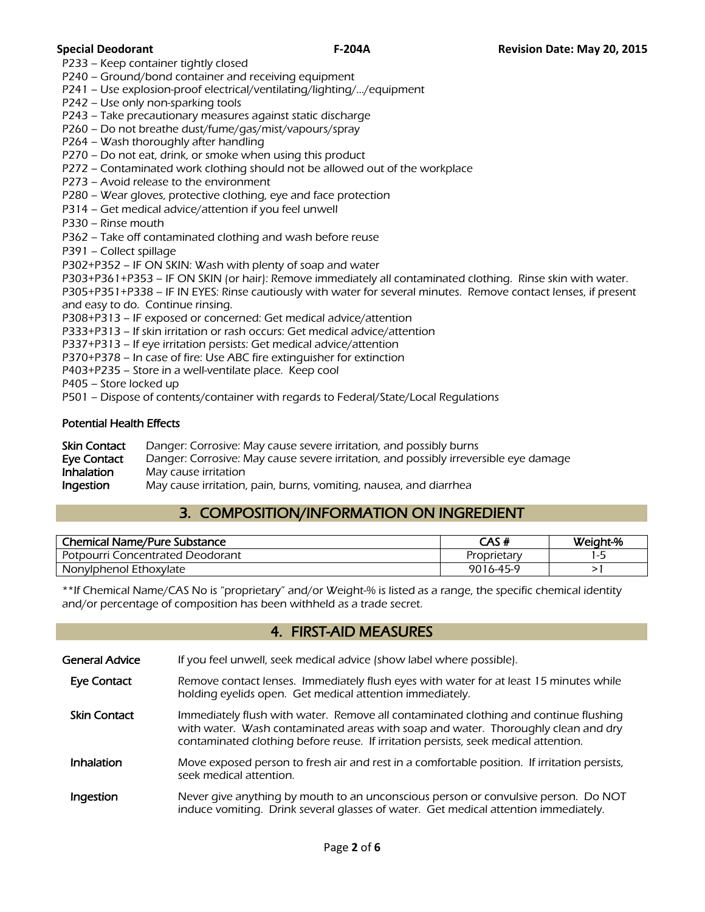P233 – Keep container tightly closed

P240 – Ground/bond container and receiving equipment

P241 – Use explosion-proof electrical/ventilating/lighting/…/equipment

P242 – Use only non-sparking tools

P243 – Take precautionary measures against static discharge

P260 – Do not breathe dust/fume/gas/mist/vapours/spray

P264 – Wash thoroughly after handling

P270 – Do not eat, drink, or smoke when using this product

- P272 Contaminated work clothing should not be allowed out of the workplace
- P273 Avoid release to the environment

P280 – Wear gloves, protective clothing, eye and face protection

P314 – Get medical advice/attention if you feel unwell

P330 – Rinse mouth

P362 – Take off contaminated clothing and wash before reuse

P391 – Collect spillage

P302+P352 – IF ON SKIN: Wash with plenty of soap and water

P303+P361+P353 – IF ON SKIN (or hair): Remove immediately all contaminated clothing. Rinse skin with water.

P305+P351+P338 – IF IN EYES: Rinse cautiously with water for several minutes. Remove contact lenses, if present and easy to do. Continue rinsing.

P308+P313 – IF exposed or concerned: Get medical advice/attention

P333+P313 – If skin irritation or rash occurs: Get medical advice/attention

P337+P313 – If eye irritation persists: Get medical advice/attention

P370+P378 – In case of fire: Use ABC fire extinguisher for extinction

P403+P235 – Store in a well-ventilate place. Keep cool

P405 – Store locked up

P501 – Dispose of contents/container with regards to Federal/State/Local Regulations

#### Potential Health Effects

| Skin Contact | Danger: Corrosive: May cause severe irritation, and possibly burns                   |
|--------------|--------------------------------------------------------------------------------------|
| Eye Contact  | Danger: Corrosive: May cause severe irritation, and possibly irreversible eye damage |
| Inhalation   | May cause irritation                                                                 |
| Ingestion    | May cause irritation, pain, burns, vomiting, nausea, and diarrhea                    |

## 3. COMPOSITION/INFORMATION ON INGREDIENT

| <b>Chemical Name/Pure Substance</b>     | CAS#        | Weight-% |
|-----------------------------------------|-------------|----------|
| <b>Potpourri Concentrated Deodorant</b> | Proprietary | . . -    |
| Nonylphenol Ethoxylate                  | 9016-45-9   |          |
|                                         |             |          |

\*\*If Chemical Name/CAS No is "proprietary" and/or Weight-% is listed as a range, the specific chemical identity and/or percentage of composition has been withheld as a trade secret.

## 4. FIRST-AID MEASURES

- General Advice If you feel unwell, seek medical advice (show label where possible).
- Eye Contact Remove contact lenses. Immediately flush eyes with water for at least 15 minutes while holding eyelids open. Get medical attention immediately.
- Skin Contact Immediately flush with water. Remove all contaminated clothing and continue flushing with water. Wash contaminated areas with soap and water. Thoroughly clean and dry contaminated clothing before reuse. If irritation persists, seek medical attention.
- Inhalation Move exposed person to fresh air and rest in a comfortable position. If irritation persists, seek medical attention.
- Ingestion Never give anything by mouth to an unconscious person or convulsive person. Do NOT induce vomiting. Drink several glasses of water. Get medical attention immediately.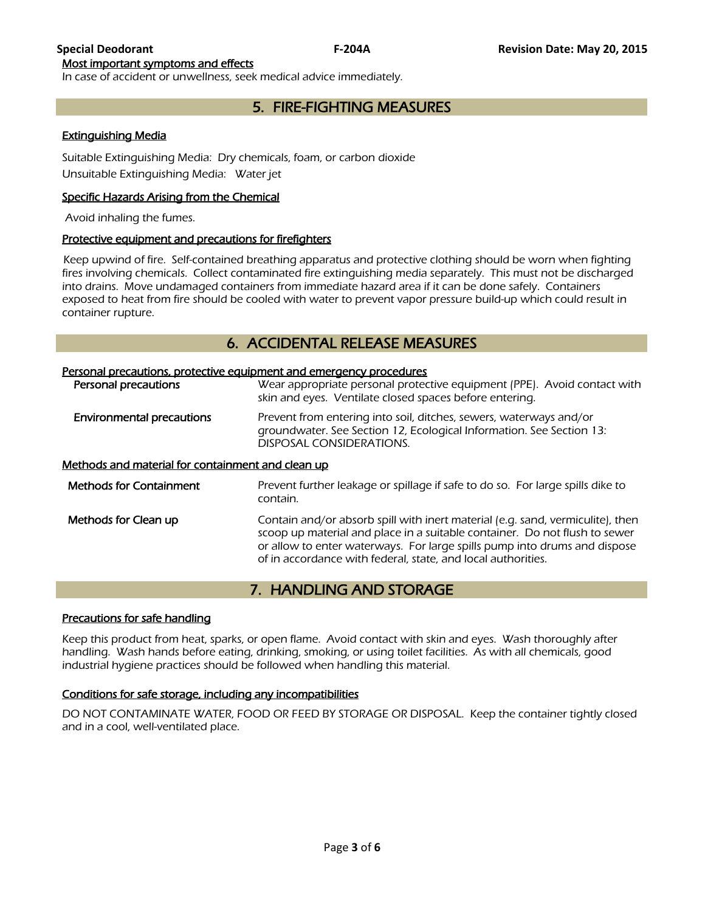## Most important symptoms and effects

In case of accident or unwellness, seek medical advice immediately.

## 5. FIRE-FIGHTING MEASURES

## Extinguishing Media

Suitable Extinguishing Media: Dry chemicals, foam, or carbon dioxide Unsuitable Extinguishing Media: Water jet

## Specific Hazards Arising from the Chemical

Avoid inhaling the fumes.

## Protective equipment and precautions for firefighters

 Keep upwind of fire. Self-contained breathing apparatus and protective clothing should be worn when fighting fires involving chemicals. Collect contaminated fire extinguishing media separately. This must not be discharged into drains. Move undamaged containers from immediate hazard area if it can be done safely. Containers exposed to heat from fire should be cooled with water to prevent vapor pressure build-up which could result in container rupture.

## 6. ACCIDENTAL RELEASE MEASURES

| Personal precautions, protective equipment and emergency procedures |                                                                                                                                                                                                                                                                                                           |
|---------------------------------------------------------------------|-----------------------------------------------------------------------------------------------------------------------------------------------------------------------------------------------------------------------------------------------------------------------------------------------------------|
| <b>Personal precautions</b>                                         | Wear appropriate personal protective equipment (PPE). Avoid contact with<br>skin and eyes. Ventilate closed spaces before entering.                                                                                                                                                                       |
| Environmental precautions                                           | Prevent from entering into soil, ditches, sewers, waterways and/or<br>groundwater. See Section 12, Ecological Information. See Section 13:<br>DISPOSAL CONSIDERATIONS.                                                                                                                                    |
| Methods and material for containment and clean up                   |                                                                                                                                                                                                                                                                                                           |
| <b>Methods for Containment</b>                                      | Prevent further leakage or spillage if safe to do so. For large spills dike to<br>contain.                                                                                                                                                                                                                |
| Methods for Clean up                                                | Contain and/or absorb spill with inert material (e.g. sand, vermiculite), then<br>scoop up material and place in a suitable container. Do not flush to sewer<br>or allow to enter waterways. For large spills pump into drums and dispose<br>of in accordance with federal, state, and local authorities. |

## 7. HANDLING AND STORAGE

#### Precautions for safe handling

Keep this product from heat, sparks, or open flame. Avoid contact with skin and eyes. Wash thoroughly after handling. Wash hands before eating, drinking, smoking, or using toilet facilities. As with all chemicals, good industrial hygiene practices should be followed when handling this material.

## Conditions for safe storage, including any incompatibilities

DO NOT CONTAMINATE WATER, FOOD OR FEED BY STORAGE OR DISPOSAL. Keep the container tightly closed and in a cool, well-ventilated place.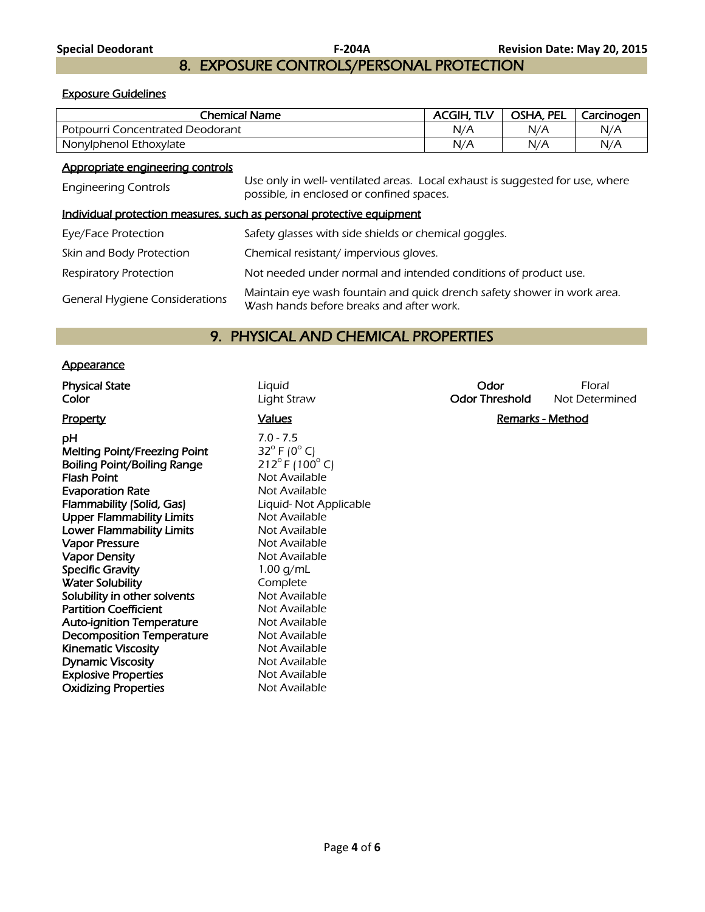## 8. EXPOSURE CONTROLS/PERSONAL PROTECTION

## Exposure Guidelines

| Chemical Name                    | ACGIH. TLV | OSHA, PEL | Carcinogen |
|----------------------------------|------------|-----------|------------|
| Potpourri Concentrated Deodorant | N/A        | N/A       | N/A        |
| Nonylphenol Ethoxylate           | N/A        | N/A       | N/A        |
| Appropriate engineering controls |            |           |            |

Engineering Controls Use only in well- ventilated areas. Local exhaust is suggested for use, where possible, in enclosed or confined spaces.

## Individual protection measures, such as personal protective equipment

| Eye/Face Protection                   | Safety glasses with side shields or chemical goggles.                                                               |
|---------------------------------------|---------------------------------------------------------------------------------------------------------------------|
| Skin and Body Protection              | Chemical resistant/impervious gloves.                                                                               |
| <b>Respiratory Protection</b>         | Not needed under normal and intended conditions of product use.                                                     |
| <b>General Hygiene Considerations</b> | Maintain eye wash fountain and quick drench safety shower in work area.<br>Wash hands before breaks and after work. |

## 9. PHYSICAL AND CHEMICAL PROPERTIES

## **Appearance**

| <b>Physical State</b> | Liquid      | Odor           | Floral     |
|-----------------------|-------------|----------------|------------|
| Color                 | Light Straw | Odor Threshold | Not Detern |

pH 7.0 - 7.5<br>Melting Point/Freezing Point 32° F (0° C) Melting Point/Freezing Point  $32^{\circ}$  F (0<sup>o</sup> C)<br>Boiling Point/Boiling Range  $212^{\circ}$  F (100<sup>o</sup> C) Boiling Point/Boiling Range **Flash Point Community Community Property** Not Available **Evaporation Rate** Not Available Flammability (Solid, Gas) Liquid- Not Applicable Upper Flammability Limits Not Available Lower Flammability Limits Not Available Vapor Pressure Not Available Vapor Density **Not Available** Not Available Specific Gravity 1.00 g/mL Water Solubility **Complete** Solubility in other solvents Not Available Partition Coefficient Not Available **Auto-ignition Temperature** Not Available Decomposition Temperature Mot Available Kinematic Viscosity<br>
Do Not Available<br>
Not Available Dynamic Viscosity **Explosive Properties** Not Available **Oxidizing Properties** Not Available

**Color Color Light Straw Color Threshold** Not Determined Property **Calues Property Remarks - Method Remarks - Method**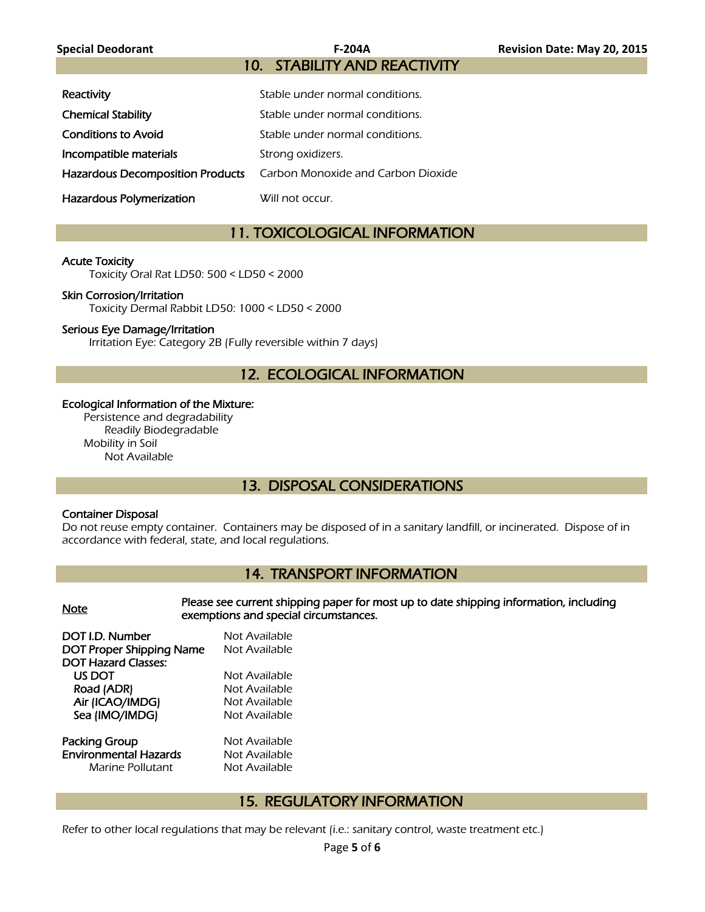## 10. STABILITY AND REACTIVITY

| Reactivity                 | Stable under normal conditions.                                     |
|----------------------------|---------------------------------------------------------------------|
| <b>Chemical Stability</b>  | Stable under normal conditions.                                     |
| <b>Conditions to Avoid</b> | Stable under normal conditions.                                     |
| Incompatible materials     | Strong oxidizers.                                                   |
|                            | Hazardous Decomposition Products Carbon Monoxide and Carbon Dioxide |
| Hazardous Polymerization   | Will not occur.                                                     |

## 11. TOXICOLOGICAL INFORMATION

## Acute Toxicity

Toxicity Oral Rat LD50: 500 < LD50 < 2000

## Skin Corrosion/Irritation

Toxicity Dermal Rabbit LD50: 1000 < LD50 < 2000

## Serious Eye Damage/Irritation

Irritation Eye: Category 2B (Fully reversible within 7 days)

## 12. ECOLOGICAL INFORMATION

#### Ecological Information of the Mixture:

Persistence and degradability Readily Biodegradable Mobility in Soil Not Available

## 13. DISPOSAL CONSIDERATIONS

## Container Disposal

Do not reuse empty container. Containers may be disposed of in a sanitary landfill, or incinerated. Dispose of in accordance with federal, state, and local regulations.

## 14. TRANSPORT INFORMATION

#### Please see current shipping paper for most up to date shipping information, including<br>Note exemptions and special circumstances.

| DOT I.D. Number                 | Not Available |
|---------------------------------|---------------|
| <b>DOT Proper Shipping Name</b> | Not Available |
| <b>DOT Hazard Classes:</b>      |               |
| US DOT                          | Not Available |
| Road (ADR)                      | Not Available |
| Air (ICAO/IMDG)                 | Not Available |
| Sea (IMO/IMDG)                  | Not Available |
|                                 |               |
|                                 |               |

Packing Group Not Available Environmental Hazards Not Available

ot Available ot Available ot Available

Marine Pollutant Not Available

## 15. REGULATORY INFORMATION

Refer to other local regulations that may be relevant (i.e.: sanitary control, waste treatment etc.)